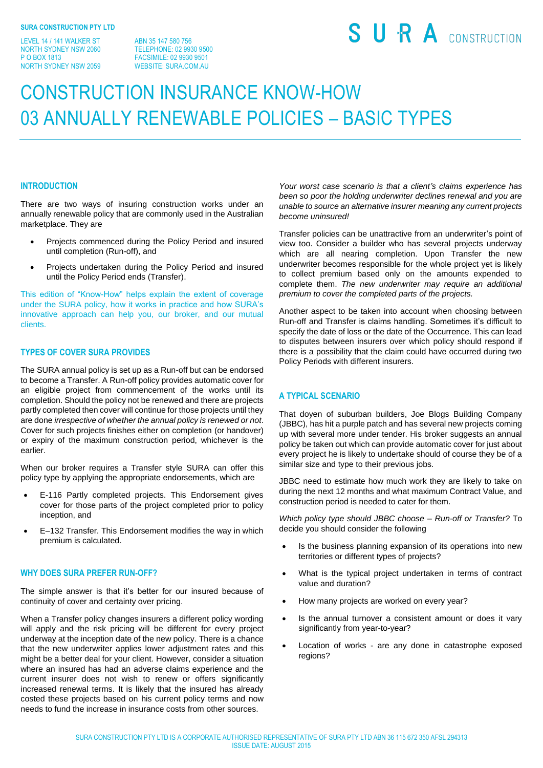LEVEL 14 / 141 WALKER ST NORTH SYDNEY NSW 2060 P O BOX 1813 NORTH SYDNEY NSW 2059

ABN 35 147 580 756 TELEPHONE: 02 9930 9500 FACSIMILE: 02 9930 9501 WEBSITE: SURA.COM.AU

# SURA CONSTRUCTION

## CONSTRUCTION INSURANCE KNOW-HOW 03 ANNUALLY RENEWABLE POLICIES – BASIC TYPES

#### **INTRODUCTION**

There are two ways of insuring construction works under an annually renewable policy that are commonly used in the Australian marketplace. They are

- Projects commenced during the Policy Period and insured until completion (Run-off), and
- Projects undertaken during the Policy Period and insured until the Policy Period ends (Transfer).

This edition of "Know-How" helps explain the extent of coverage under the SURA policy, how it works in practice and how SURA's innovative approach can help you, our broker, and our mutual clients.

#### **TYPES OF COVER SURA PROVIDES**

The SURA annual policy is set up as a Run-off but can be endorsed to become a Transfer. A Run-off policy provides automatic cover for an eligible project from commencement of the works until its completion. Should the policy not be renewed and there are projects partly completed then cover will continue for those projects until they are done *irrespective of whether the annual policy is renewed or not*. Cover for such projects finishes either on completion (or handover) or expiry of the maximum construction period, whichever is the earlier.

When our broker requires a Transfer style SURA can offer this policy type by applying the appropriate endorsements, which are

- E-116 Partly completed projects. This Endorsement gives cover for those parts of the project completed prior to policy inception, and
- E–132 Transfer. This Endorsement modifies the way in which premium is calculated.

#### **WHY DOES SURA PREFER RUN-OFF?**

The simple answer is that it's better for our insured because of continuity of cover and certainty over pricing.

When a Transfer policy changes insurers a different policy wording will apply and the risk pricing will be different for every project underway at the inception date of the new policy. There is a chance that the new underwriter applies lower adjustment rates and this might be a better deal for your client. However, consider a situation where an insured has had an adverse claims experience and the current insurer does not wish to renew or offers significantly increased renewal terms. It is likely that the insured has already costed these projects based on his current policy terms and now needs to fund the increase in insurance costs from other sources.

*Your worst case scenario is that a client's claims experience has been so poor the holding underwriter declines renewal and you are unable to source an alternative insurer meaning any current projects become uninsured!*

Transfer policies can be unattractive from an underwriter's point of view too. Consider a builder who has several projects underway which are all nearing completion. Upon Transfer the new underwriter becomes responsible for the whole project yet is likely to collect premium based only on the amounts expended to complete them. *The new underwriter may require an additional premium to cover the completed parts of the projects.*

Another aspect to be taken into account when choosing between Run-off and Transfer is claims handling. Sometimes it's difficult to specify the date of loss or the date of the Occurrence. This can lead to disputes between insurers over which policy should respond if there is a possibility that the claim could have occurred during two Policy Periods with different insurers.

### **A TYPICAL SCENARIO**

That doyen of suburban builders, Joe Blogs Building Company (JBBC), has hit a purple patch and has several new projects coming up with several more under tender. His broker suggests an annual policy be taken out which can provide automatic cover for just about every project he is likely to undertake should of course they be of a similar size and type to their previous jobs.

JBBC need to estimate how much work they are likely to take on during the next 12 months and what maximum Contract Value, and construction period is needed to cater for them.

*Which policy type should JBBC choose – Run-off or Transfer?* To decide you should consider the following

- Is the business planning expansion of its operations into new territories or different types of projects?
- What is the typical project undertaken in terms of contract value and duration?
- How many projects are worked on every year?
- Is the annual turnover a consistent amount or does it vary significantly from year-to-year?
- Location of works are any done in catastrophe exposed regions?